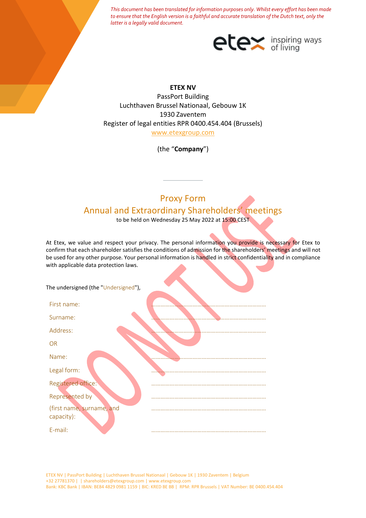*This document has been translated for information purposes only. Whilst every effort has been made to ensure that the English version is a faithful and accurate translation of the Dutch text, only the latter is a legally valid document.*



## **ETEX NV**

PassPort Building Luchthaven Brussel Nationaal, Gebouw 1K 1930 Zaventem Register of legal entities RPR 0400.454.404 (Brussels) [www.etexgroup.com](http://www.etexgroup.com/)

(the "**Company**")

# Proxy Form Annual and Extraordinary Shareholders' meetings

to be held on Wednesday 25 May 2022 at 15:00 CEST

At Etex, we value and respect your privacy. The personal information you provide is necessary for Etex to confirm that each shareholder satisfies the conditions of admission for the shareholders' meetings and will not be used for any other purpose. Your personal information is handled in strict confidentiality and in compliance with applicable data protection laws.

| The undersigned (the "Undersigned"),    |  |
|-----------------------------------------|--|
| First name:                             |  |
| Surname:                                |  |
| Address:                                |  |
| <b>OR</b>                               |  |
| Name:                                   |  |
| Legal form:                             |  |
| Registered office:                      |  |
| <b>Represented by</b>                   |  |
| (first name, surname, and<br>capacity): |  |
| E-mail:                                 |  |

ETEX NV | PassPort Building | Luchthaven Brussel Nationaal | Gebouw 1K | 1930 Zaventem | Belgium +32 27781370 | | shareholders@etexgroup.com | www.etexgroup.com Bank: KBC Bank | IBAN: BE84 4829 0981 1159 | BIC: KRED BE BB | RPM: RPR Brussels | VAT Number: BE 0400.454.404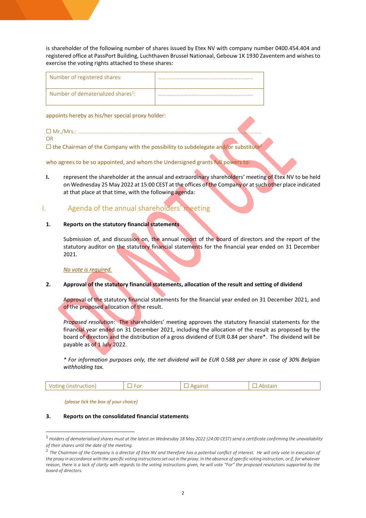is shareholder of the following number of shares issued by Etex NV with company number 0400.454.404 and registered office at PassPort Building, Luchthaven Brussel Nationaal, Gebouw 1K 1930 Zaventem and wishes to exercise the voting rights attached to these shares:

| Number of registered shares:                   |  |
|------------------------------------------------|--|
| Number of dematerialized shares <sup>1</sup> : |  |

appoints hereby as his/her special proxy holder:

☐ Mr./Mrs.: …………………………………………………………………………………………………………………… OR

 $\Box$  the Chairman of the Company with the possibility to subdelegate and/or substitute<sup>2</sup>

who agrees to be so appointed, and whom the Undersigned grants full powers to:

**I.** represent the shareholder at the annual and extraordinary shareholders' meeting of Etex NV to be held on Wednesday 25 May 2022 at 15:00 CEST at the offices of the Company or at such other place indicated at that place at that time, with the following agenda:

# I. Agenda of the annual shareholders' meeting

## **1. Reports on the statutory financial statements**

Submission of, and discussion on, the annual report of the board of directors and the report of the statutory auditor on the statutory financial statements for the financial year ended on 31 December 2021.

*No vote is required.*

## **2. Approval of the statutory financial statements, allocation of the result and setting of dividend**

Approval of the statutory financial statements for the financial year ended on 31 December 2021, and of the proposed allocation of the result.

*Proposed resolution*: The shareholders' meeting approves the statutory financial statements for the financial year ended on 31 December 2021, including the allocation of the result as proposed by the board of directors and the distribution of a gross dividend of EUR 0.84 per share\*. The dividend will be payable as of 1 July 2022.

*\* For information purposes only, the net dividend will be EUR* 0.588 *per share in case of 30% Belgian withholding tax.*

|--|--|--|--|--|

*(please tick the box of your choice)*

#### **3. Reports on the consolidated financial statements**

<sup>1</sup> *Holders of dematerialised shares must at the latest on Wednesday 18 May 2022 (24:00 CEST) send a certificate confirming the unavailability of their shares until the date of the meeting.*

<sup>&</sup>lt;sup>2</sup> The Chairman of the Company is a director of Etex NV and therefore has a potential conflict of interest. He will only vote in execution of *the proxy in accordance with the specific voting instructions set out in the proxy. In the absence of specific voting instruction, or if, for whatever reason, there is a lack of clarity with regards to the voting instructions given, he will vote "For" the proposed resolutions supported by the board of directors.*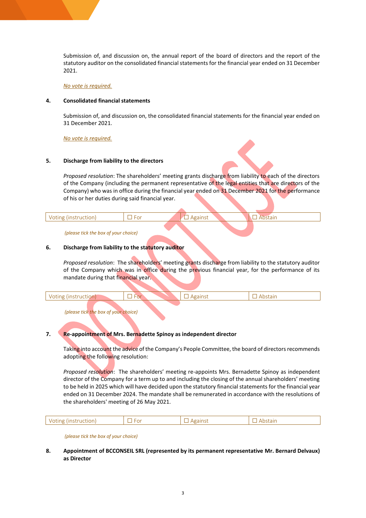Submission of, and discussion on, the annual report of the board of directors and the report of the statutory auditor on the consolidated financial statements for the financial year ended on 31 December 2021.

*No vote is required.*

#### **4. Consolidated financial statements**

Submission of, and discussion on, the consolidated financial statements for the financial year ended on 31 December 2021.

*No vote is required.*

#### **5. Discharge from liability to the directors**

*Proposed resolution*: The shareholders' meeting grants discharge from liability to each of the directors of the Company (including the permanent representative of the legal entities that are directors of the Company) who was in office during the financial year ended on 31 December 2021 for the performance of his or her duties during said financial year.

#### *(please tick the box of your choice)*

#### **6. Discharge from liability to the statutory auditor**

*Proposed resolution*: The shareholders' meeting grants discharge from liability to the statutory auditor of the Company which was in office during the previous financial year, for the performance of its mandate during that financial year.

*(please tick the box of your choice)*

## **7. Re-appointment of Mrs. Bernadette Spinoy as independent director**

Taking into account the advice of the Company's People Committee, the board of directors recommends adopting the following resolution:

*Proposed resolution*: The shareholders' meeting re-appoints Mrs. Bernadette Spinoy as independent director of the Company for a term up to and including the closing of the annual shareholders' meeting to be held in 2025 which will have decided upon the statutory financial statements for the financial year ended on 31 December 2024. The mandate shall be remunerated in accordance with the resolutions of the shareholders' meeting of 26 May 2021.

|--|--|

*(please tick the box of your choice)*

#### **8. Appointment of BCCONSEIL SRL (represented by its permanent representative Mr. Bernard Delvaux) as Director**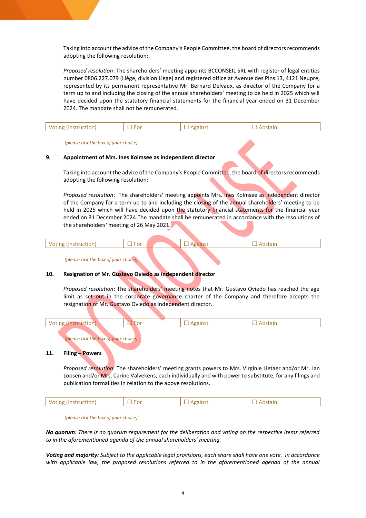Taking into account the advice of the Company's People Committee, the board of directors recommends adopting the following resolution:

*Proposed resolution*: The shareholders' meeting appoints BCCONSEIL SRL with register of legal entities number 0806.227.079 (Liège, division Liège) and registered office at Avenue des Pins 13, 4121 Neupré, represented by its permanent representative Mr. Bernard Delvaux, as director of the Company for a term up to and including the closing of the annual shareholders' meeting to be held in 2025 which will have decided upon the statutory financial statements for the financial year ended on 31 December 2024. The mandate shall not be remunerated.

|  | . . |  |  |
|--|-----|--|--|
|--|-----|--|--|

#### *(please tick the box of your choice)*

#### **9. Appointment of Mrs. Ines Kolmsee as independent director**

Taking into account the advice of the Company's People Committee, the board of directors recommends adopting the following resolution:

*Proposed resolution*: The shareholders' meeting appoints Mrs. Ines Kolmsee as independent director of the Company for a term up to and including the closing of the annual shareholders' meeting to be held in 2025 which will have decided upon the statutory financial statements for the financial year ended on 31 December 2024.The mandate shall be remunerated in accordance with the resolutions of the shareholders' meeting of 26 May 2021.

*(please tick the box of your choice)*

## **10. Resignation of Mr. Gustavo Oviedo as independent director**

*Proposed resolution*: The shareholders' meeting notes that Mr. Gustavo Oviedo has reached the age limit as set out in the corporate governance charter of the Company and therefore accepts the resignation of Mr. Gustavo Oviedo as independent director.

*(please tick the box of your choice)*

#### **11. Filing – Powers**

*Proposed resolution*: The shareholders' meeting grants powers to Mrs. Virginie Lietaer and/or Mr. Jan Loosen and/or Mrs. Carine Valvekens, each individually and with power to substitute, for any filings and publication formalities in relation to the above resolutions*.*

|--|--|--|--|--|

*(please tick the box of your choice)*

*No quorum: There is no quorum requirement for the deliberation and voting on the respective items referred to in the aforementioned agenda of the annual shareholders' meeting.*

*Voting and majority: Subject to the applicable legal provisions, each share shall have one vote. In accordance*  with applicable law, the proposed resolutions referred to in the aforementioned agenda of the annual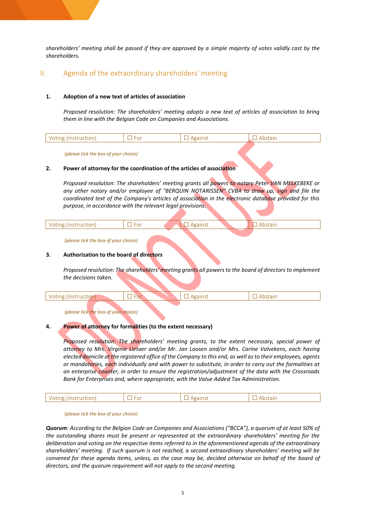*shareholders' meeting shall be passed if they are approved by a simple majority of votes validly cast by the shareholders.* 

## II. Agenda of the extraordinary shareholders' meeting

#### **1. Adoption of a new text of articles of association**

*Proposed resolution: The shareholders' meeting adopts a new text of articles of association to bring them in line with the Belgian Code on Companies and Associations.*

| __ |  |
|----|--|
|    |  |

*(please tick the box of your choice)*

#### **2. Power of attorney for the coordination of the articles of association**

*Proposed resolution: The shareholders' meeting grants all powers to notary Peter VAN MELKEBEKE or any other notary and/or employee of "BERQUIN NOTARISSEN" CVBA to draw up, sign and file the coordinated text of the Company's articles of association in the electronic database provided for this purpose, in accordance with the relevant legal provisions.*

|  | . |  |  |  |  |  |  |  |
|--|---|--|--|--|--|--|--|--|
|--|---|--|--|--|--|--|--|--|

*(please tick the box of your choice)*

#### **3. Authorization to the board of directors**

*Proposed resolution: The shareholders' meeting grants all powers to the board of directors to implement the decisions taken.*

*(please tick the box of your choice)*

#### **4. Power of attorney for formalities (to the extent necessary)**

*Proposed resolution*: *The shareholders' meeting grants, to the extent necessary, special power of attorney to Mrs. Virginie Lietaer and/or Mr. Jan Loosen and/or Mrs. Carine Valvekens, each having elected domicile at the registered office of the Company to this end, as well as to their employees, agents or mandatories, each individually and with power to substitute, in order to carry out the formalities at an enterprise counter, in order to ensure the registration/adjustment of the data with the Crossroads Bank for Enterprises and, where appropriate, with the Value Added Tax Administration.*

|--|--|--|--|--|

*(please tick the box of your choice)*

*Quorum: According to the Belgian Code on Companies and Associations ("BCCA"), a quorum of at least 50% of the outstanding shares must be present or represented at the extraordinary shareholders' meeting for the deliberation and voting on the respective items referred to in the aforementioned agenda of the extraordinary shareholders' meeting. If such quorum is not reached, a second extraordinary shareholders' meeting will be convened for these agenda items, unless, as the case may be, decided otherwise on behalf of the board of directors, and the quorum requirement will not apply to the second meeting.*